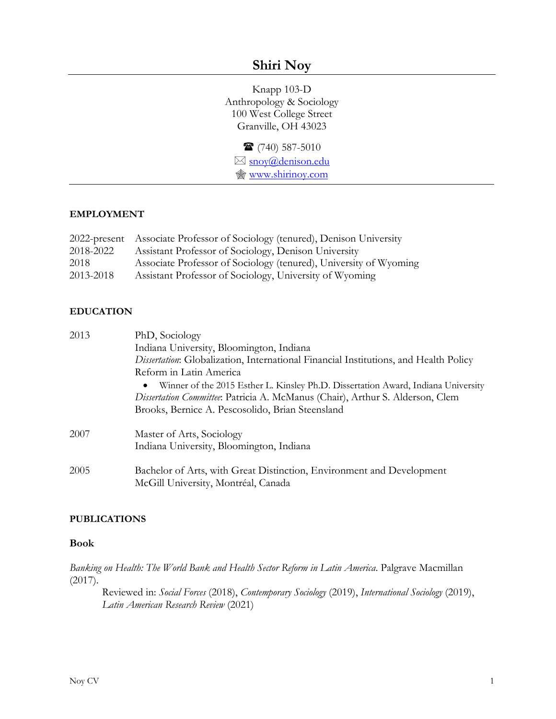# **Shiri Noy**

Knapp 103-D Anthropology & Sociology 100 West College Street Granville, OH 43023

 (740) 587-5010 ⊠ [snoy@denison.edu](mailto:snoy@denison.edu) [www.shirinoy.com](http://www.shirinoy.com/)

#### **EMPLOYMENT**

|           | 2022-present Associate Professor of Sociology (tenured), Denison University |
|-----------|-----------------------------------------------------------------------------|
| 2018-2022 | Assistant Professor of Sociology, Denison University                        |
| 2018      | Associate Professor of Sociology (tenured), University of Wyoming           |
| 2013-2018 | Assistant Professor of Sociology, University of Wyoming                     |

### **EDUCATION**

| 2013 | PhD, Sociology                                                                                 |
|------|------------------------------------------------------------------------------------------------|
|      | Indiana University, Bloomington, Indiana                                                       |
|      | <i>Dissertation</i> : Globalization, International Financial Institutions, and Health Policy   |
|      | Reform in Latin America                                                                        |
|      | Winner of the 2015 Esther L. Kinsley Ph.D. Dissertation Award, Indiana University<br>$\bullet$ |
|      | Dissertation Committee: Patricia A. McManus (Chair), Arthur S. Alderson, Clem                  |
|      | Brooks, Bernice A. Pescosolido, Brian Steensland                                               |
| 2007 | Master of Arts, Sociology                                                                      |
|      | Indiana University, Bloomington, Indiana                                                       |
| 2005 | Bachelor of Arts, with Great Distinction, Environment and Development                          |
|      | McGill University, Montréal, Canada                                                            |

#### **PUBLICATIONS**

#### **Book**

*Banking on Health: The World Bank and Health Sector Reform in Latin America*. Palgrave Macmillan (2017).

Reviewed in: *Social Forces* (2018), *Contemporary Sociology* (2019), *International Sociology* (2019), *Latin American Research Review* (2021)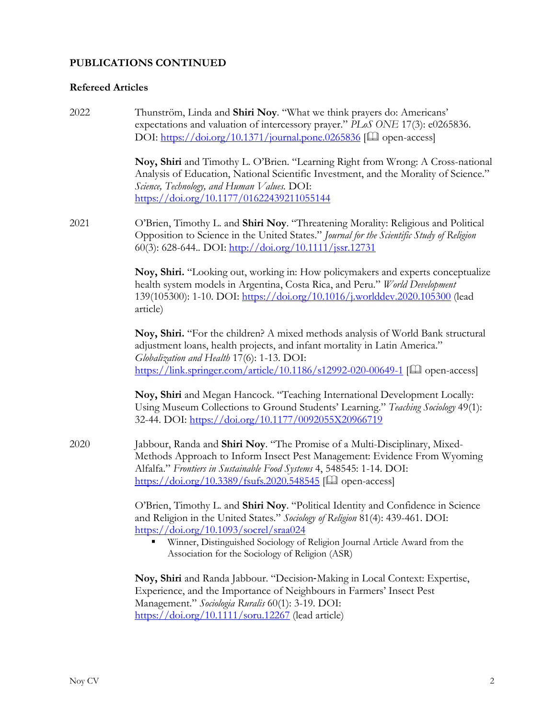## **Refereed Articles**

| 2022 | Thunström, Linda and Shiri Noy. "What we think prayers do: Americans'<br>expectations and valuation of intercessory prayer." PLoS ONE 17(3): e0265836.<br>DOI: https://doi.org/10.1371/journal.pone.0265836 [Lagon-access]                                                                                                                                      |
|------|-----------------------------------------------------------------------------------------------------------------------------------------------------------------------------------------------------------------------------------------------------------------------------------------------------------------------------------------------------------------|
|      | Noy, Shiri and Timothy L. O'Brien. "Learning Right from Wrong: A Cross-national<br>Analysis of Education, National Scientific Investment, and the Morality of Science."<br>Science, Technology, and Human Values. DOI:<br>https://doi.org/10.1177/01622439211055144                                                                                             |
| 2021 | O'Brien, Timothy L. and Shiri Noy. "Threatening Morality: Religious and Political<br>Opposition to Science in the United States." Journal for the Scientific Study of Religion<br>60(3): 628-644 DOI: http://doi.org/10.1111/jssr.12731                                                                                                                         |
|      | Noy, Shiri. "Looking out, working in: How policymakers and experts conceptualize<br>health system models in Argentina, Costa Rica, and Peru." World Development<br>139(105300): 1-10. DOI: https://doi.org/10.1016/j.worlddev.2020.105300 (lead<br>article)                                                                                                     |
|      | Noy, Shiri. "For the children? A mixed methods analysis of World Bank structural<br>adjustment loans, health projects, and infant mortality in Latin America."<br>Globalization and Health 17(6): 1-13. DOI:<br>https://link.springer.com/article/10.1186/s12992-020-00649-1 [Lad] open-access]                                                                 |
|      | Noy, Shiri and Megan Hancock. "Teaching International Development Locally:<br>Using Museum Collections to Ground Students' Learning." Teaching Sociology 49(1):<br>32-44. DOI: https://doi.org/10.1177/0092055X20966719                                                                                                                                         |
| 2020 | Jabbour, Randa and Shiri Noy. "The Promise of a Multi-Disciplinary, Mixed-<br>Methods Approach to Inform Insect Pest Management: Evidence From Wyoming<br>Alfalfa." Frontiers in Sustainable Food Systems 4, 548545: 1-14. DOI:<br>https://doi.org/10.3389/fsufs.2020.548545 [Lad] open-access]                                                                 |
|      | O'Brien, Timothy L. and Shiri Noy. "Political Identity and Confidence in Science<br>and Religion in the United States." Sociology of Religion 81(4): 439-461. DOI:<br>$\frac{\text{https://doi.org/10.1093/score1/straa024}}{$<br>Winner, Distinguished Sociology of Religion Journal Article Award from the<br>Association for the Sociology of Religion (ASR) |
|      | Noy, Shiri and Randa Jabbour. "Decision-Making in Local Context: Expertise,<br>Experience, and the Importance of Neighbours in Farmers' Insect Pest<br>Management." Sociologia Ruralis 60(1): 3-19. DOI:                                                                                                                                                        |

<https://doi.org/10.1111/soru.12267> (lead article)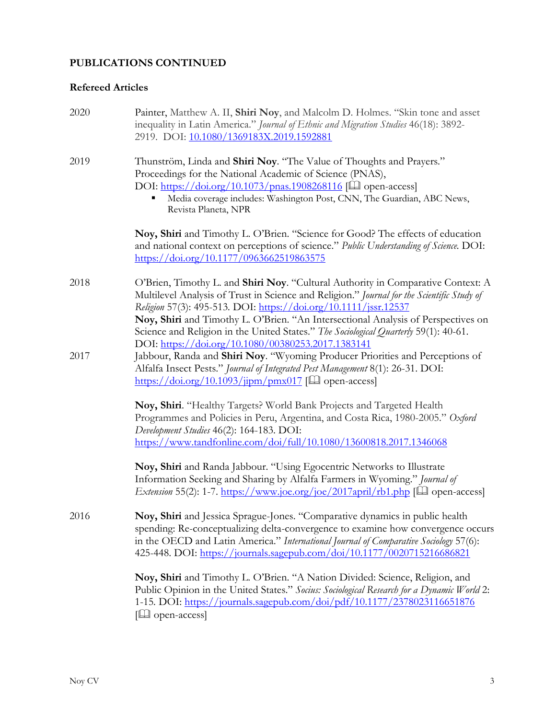## **Refereed Articles**

| 2020 | Painter, Matthew A. II, Shiri Noy, and Malcolm D. Holmes. "Skin tone and asset<br>inequality in Latin America." Journal of Ethnic and Migration Studies 46(18): 3892-<br>2919. DOI: 10.1080/1369183X.2019.1592881                                                                                                                                                                                                                                                                     |
|------|---------------------------------------------------------------------------------------------------------------------------------------------------------------------------------------------------------------------------------------------------------------------------------------------------------------------------------------------------------------------------------------------------------------------------------------------------------------------------------------|
| 2019 | Thunström, Linda and Shiri Noy. "The Value of Thoughts and Prayers."<br>Proceedings for the National Academic of Science (PNAS),<br>DOI: https://doi.org/10.1073/pnas.1908268116 [Q] open-access]<br>Media coverage includes: Washington Post, CNN, The Guardian, ABC News,<br>Revista Planeta, NPR                                                                                                                                                                                   |
|      | Noy, Shiri and Timothy L. O'Brien. "Science for Good? The effects of education<br>and national context on perceptions of science." Public Understanding of Science. DOI:<br>https://doi.org/10.1177/0963662519863575                                                                                                                                                                                                                                                                  |
| 2018 | O'Brien, Timothy L. and Shiri Noy. "Cultural Authority in Comparative Context: A<br>Multilevel Analysis of Trust in Science and Religion." Journal for the Scientific Study of<br>Religion 57(3): 495-513. DOI: https://doi.org/10.1111/jssr.12537<br>Noy, Shiri and Timothy L. O'Brien. "An Intersectional Analysis of Perspectives on<br>Science and Religion in the United States." The Sociological Quarterly 59(1): 40-61.<br>DOI: https://doi.org/10.1080/00380253.2017.1383141 |
| 2017 | Jabbour, Randa and Shiri Noy. "Wyoming Producer Priorities and Perceptions of<br>Alfalfa Insect Pests." Journal of Integrated Pest Management 8(1): 26-31. DOI:<br>$\frac{\text{https://doi.org/10.1093/jipm/pmx017}}{$ [ $\Box$ ] open-access]                                                                                                                                                                                                                                       |
|      | Noy, Shiri. "Healthy Targets? World Bank Projects and Targeted Health<br>Programmes and Policies in Peru, Argentina, and Costa Rica, 1980-2005." Oxford<br>Development Studies 46(2): 164-183. DOI:<br>https://www.tandfonline.com/doi/full/10.1080/13600818.2017.1346068                                                                                                                                                                                                             |
|      | Noy, Shiri and Randa Jabbour. "Using Egocentric Networks to Illustrate<br>Information Seeking and Sharing by Alfalfa Farmers in Wyoming." Journal of<br>Extension 55(2): 1-7. https://www.joe.org/joe/2017april/rb1.php [Qu] open-access]                                                                                                                                                                                                                                             |
| 2016 | Noy, Shiri and Jessica Sprague-Jones. "Comparative dynamics in public health<br>spending: Re-conceptualizing delta-convergence to examine how convergence occurs<br>in the OECD and Latin America." International Journal of Comparative Sociology 57(6):<br>425-448. DOI: https://journals.sagepub.com/doi/10.1177/0020715216686821                                                                                                                                                  |
|      | Noy, Shiri and Timothy L. O'Brien. "A Nation Divided: Science, Religion, and<br>Public Opinion in the United States." Socius: Sociological Research for a Dynamic World 2:<br>1-15. DOI: https://journals.sagepub.com/doi/pdf/10.1177/2378023116651876<br>$[\Box]$ open-access]                                                                                                                                                                                                       |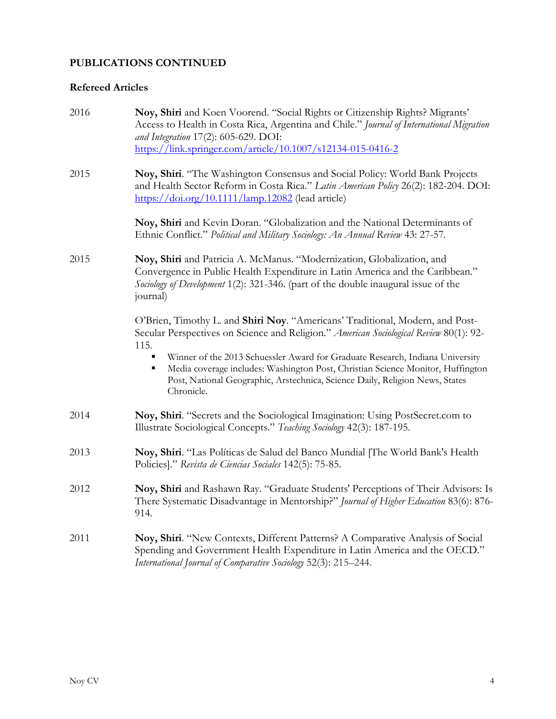### **Refereed Articles**

| 2016 | Noy, Shiri and Koen Voorend. "Social Rights or Citizenship Rights? Migrants'<br>Access to Health in Costa Rica, Argentina and Chile." Journal of International Migration<br>and Integration 17(2): 605-629. DOI:<br>https://link.springer.com/article/10.1007/s12134-015-0416-2                                                                                                                                                                   |
|------|---------------------------------------------------------------------------------------------------------------------------------------------------------------------------------------------------------------------------------------------------------------------------------------------------------------------------------------------------------------------------------------------------------------------------------------------------|
| 2015 | Noy, Shiri. "The Washington Consensus and Social Policy: World Bank Projects<br>and Health Sector Reform in Costa Rica." Latin American Policy 26(2): 182-204. DOI:<br>https://doi.org/10.1111/lamp.12082 (lead article)                                                                                                                                                                                                                          |
|      | Noy, Shiri and Kevin Doran. "Globalization and the National Determinants of<br>Ethnic Conflict." Political and Military Sociology: An Annual Review 43: 27-57.                                                                                                                                                                                                                                                                                    |
| 2015 | Noy, Shiri and Patricia A. McManus. "Modernization, Globalization, and<br>Convergence in Public Health Expenditure in Latin America and the Caribbean."<br>Sociology of Development 1(2): 321-346. (part of the double inaugural issue of the<br>journal)                                                                                                                                                                                         |
|      | O'Brien, Timothy L. and Shiri Noy. "Americans' Traditional, Modern, and Post-<br>Secular Perspectives on Science and Religion." American Sociological Review 80(1): 92-<br>115.<br>Winner of the 2013 Schuessler Award for Graduate Research, Indiana University<br>Media coverage includes: Washington Post, Christian Science Monitor, Huffington<br>Post, National Geographic, Arstechnica, Science Daily, Religion News, States<br>Chronicle. |
| 2014 | Noy, Shiri. "Secrets and the Sociological Imagination: Using PostSecret.com to<br>Illustrate Sociological Concepts." Teaching Sociology 42(3): 187-195.                                                                                                                                                                                                                                                                                           |
| 2013 | Noy, Shiri. "Las Políticas de Salud del Banco Mundial [The World Bank's Health<br>Policies]." Revista de Ciencias Sociales 142(5): 75-85.                                                                                                                                                                                                                                                                                                         |
| 2012 | Noy, Shiri and Rashawn Ray. "Graduate Students' Perceptions of Their Advisors: Is<br>There Systematic Disadvantage in Mentorship?" Journal of Higher Education 83(6): 876-<br>914.                                                                                                                                                                                                                                                                |
| 2011 | Noy, Shiri. "New Contexts, Different Patterns? A Comparative Analysis of Social<br>Spending and Government Health Expenditure in Latin America and the OECD."<br>International Journal of Comparative Sociology 52(3): 215-244.                                                                                                                                                                                                                   |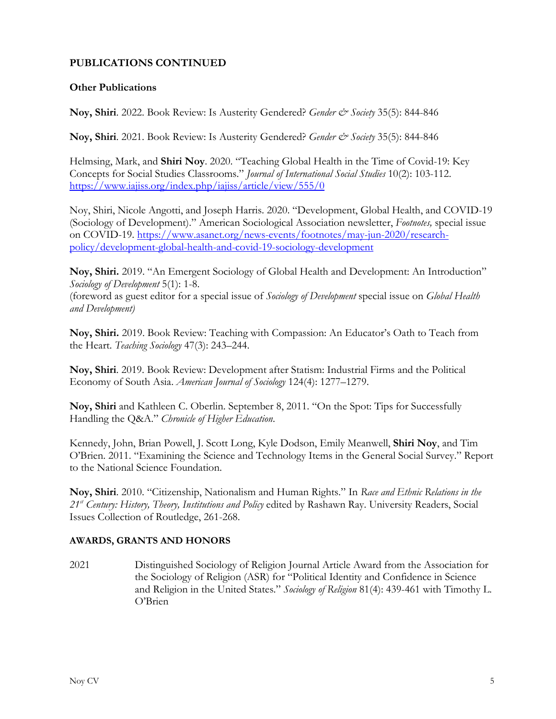#### **Other Publications**

**Noy, Shiri**. 2022. Book Review: Is Austerity Gendered? *Gender & Society* 35(5): 844-846

**Noy, Shiri**. 2021. Book Review: Is Austerity Gendered? *Gender & Society* 35(5): 844-846

Helmsing, Mark, and **Shiri Noy**. 2020. "Teaching Global Health in the Time of Covid-19: Key Concepts for Social Studies Classrooms." *Journal of International Social Studies* 10(2): 103-112. <https://www.iajiss.org/index.php/iajiss/article/view/555/0>

Noy, Shiri, Nicole Angotti, and Joseph Harris. 2020. "Development, Global Health, and COVID-19 (Sociology of Development)." American Sociological Association newsletter, *Footnotes,* special issue on COVID-19. [https://www.asanet.org/news-events/footnotes/may-jun-2020/research](https://www.asanet.org/news-events/footnotes/may-jun-2020/research-policy/development-global-health-and-covid-19-sociology-development)[policy/development-global-health-and-covid-19-sociology-development](https://www.asanet.org/news-events/footnotes/may-jun-2020/research-policy/development-global-health-and-covid-19-sociology-development)

**Noy, Shiri.** 2019. "An Emergent Sociology of Global Health and Development: An Introduction" *Sociology of Development* 5(1): 1-8.

(foreword as guest editor for a special issue of *Sociology of Development* special issue on *Global Health and Development)*

**Noy, Shiri.** 2019. Book Review: Teaching with Compassion: An Educator's Oath to Teach from the Heart. *Teaching Sociology* 47(3): 243–244.

**Noy, Shiri**. 2019. Book Review: Development after Statism: Industrial Firms and the Political Economy of South Asia. *American Journal of Sociology* 124(4): 1277–1279.

**Noy, Shiri** and Kathleen C. Oberlin. September 8, 2011. "On the Spot: Tips for Successfully Handling the Q&A." *Chronicle of Higher Education*.

Kennedy, John, Brian Powell, J. Scott Long, Kyle Dodson, Emily Meanwell, **Shiri Noy**, and Tim O'Brien. 2011. "Examining the Science and Technology Items in the General Social Survey." Report to the National Science Foundation.

**Noy, Shiri**. 2010. "Citizenship, Nationalism and Human Rights." In *Race and Ethnic Relations in the 21st Century: History, Theory, Institutions and Policy* edited by Rashawn Ray. University Readers, Social Issues Collection of Routledge, 261-268.

#### **AWARDS, GRANTS AND HONORS**

2021 Distinguished Sociology of Religion Journal Article Award from the Association for the Sociology of Religion (ASR) for "Political Identity and Confidence in Science and Religion in the United States." *Sociology of Religion* 81(4): 439-461 with Timothy L. O'Brien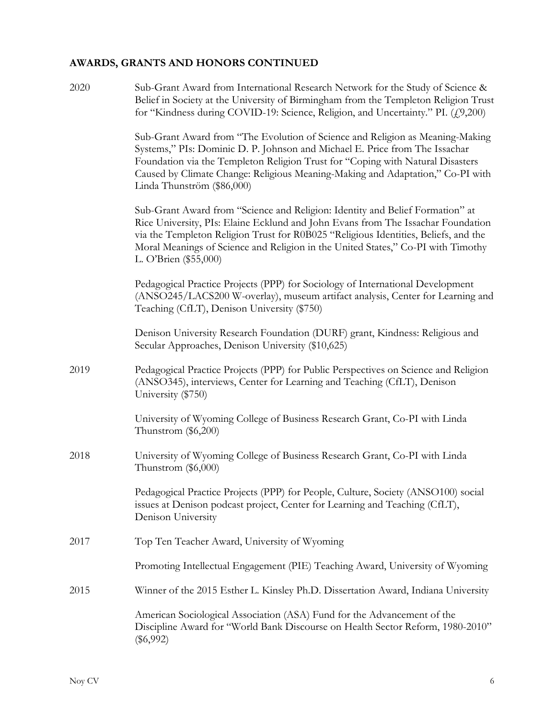# **AWARDS, GRANTS AND HONORS CONTINUED**

| 2020 | Sub-Grant Award from International Research Network for the Study of Science &<br>Belief in Society at the University of Birmingham from the Templeton Religion Trust<br>for "Kindness during COVID-19: Science, Religion, and Uncertainty." PI. (£9,200)                                                                                                             |
|------|-----------------------------------------------------------------------------------------------------------------------------------------------------------------------------------------------------------------------------------------------------------------------------------------------------------------------------------------------------------------------|
|      | Sub-Grant Award from "The Evolution of Science and Religion as Meaning-Making<br>Systems," PIs: Dominic D. P. Johnson and Michael E. Price from The Issachar<br>Foundation via the Templeton Religion Trust for "Coping with Natural Disasters<br>Caused by Climate Change: Religious Meaning-Making and Adaptation," Co-PI with<br>Linda Thunström (\$86,000)        |
|      | Sub-Grant Award from "Science and Religion: Identity and Belief Formation" at<br>Rice University, PIs: Elaine Ecklund and John Evans from The Issachar Foundation<br>via the Templeton Religion Trust for R0B025 "Religious Identities, Beliefs, and the<br>Moral Meanings of Science and Religion in the United States," Co-PI with Timothy<br>L. O'Brien (\$55,000) |
|      | Pedagogical Practice Projects (PPP) for Sociology of International Development<br>(ANSO245/LACS200 W-overlay), museum artifact analysis, Center for Learning and<br>Teaching (CfLT), Denison University (\$750)                                                                                                                                                       |
|      | Denison University Research Foundation (DURF) grant, Kindness: Religious and<br>Secular Approaches, Denison University (\$10,625)                                                                                                                                                                                                                                     |
| 2019 | Pedagogical Practice Projects (PPP) for Public Perspectives on Science and Religion<br>(ANSO345), interviews, Center for Learning and Teaching (CfLT), Denison<br>University (\$750)                                                                                                                                                                                  |
|      | University of Wyoming College of Business Research Grant, Co-PI with Linda<br>Thunstrom $(\$6,200)$                                                                                                                                                                                                                                                                   |
| 2018 | University of Wyoming College of Business Research Grant, Co-PI with Linda<br>Thunstrom $(\$6,000)$                                                                                                                                                                                                                                                                   |
|      | Pedagogical Practice Projects (PPP) for People, Culture, Society (ANSO100) social<br>issues at Denison podcast project, Center for Learning and Teaching (CfLT),<br>Denison University                                                                                                                                                                                |
| 2017 | Top Ten Teacher Award, University of Wyoming                                                                                                                                                                                                                                                                                                                          |
|      | Promoting Intellectual Engagement (PIE) Teaching Award, University of Wyoming                                                                                                                                                                                                                                                                                         |
| 2015 | Winner of the 2015 Esther L. Kinsley Ph.D. Dissertation Award, Indiana University                                                                                                                                                                                                                                                                                     |
|      | American Sociological Association (ASA) Fund for the Advancement of the<br>Discipline Award for "World Bank Discourse on Health Sector Reform, 1980-2010"<br>$(\$6,992)$                                                                                                                                                                                              |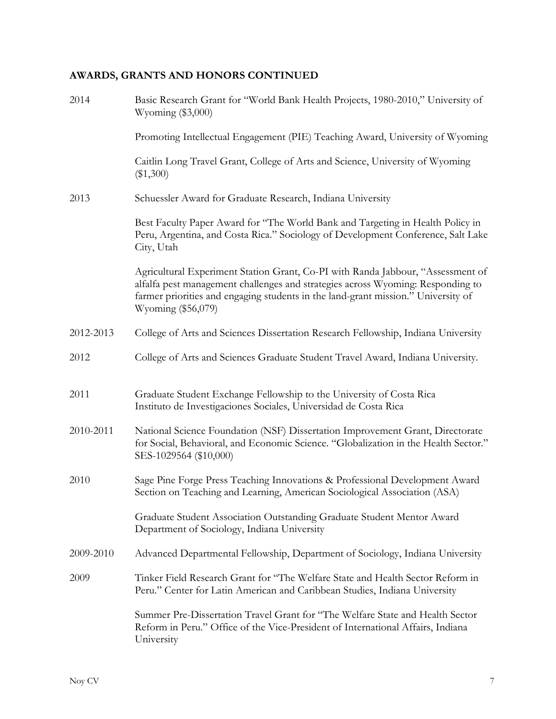## **AWARDS, GRANTS AND HONORS CONTINUED**

| 2014      | Basic Research Grant for "World Bank Health Projects, 1980-2010," University of<br>Wyoming $(\$3,000)$                                                                                                                                                                        |
|-----------|-------------------------------------------------------------------------------------------------------------------------------------------------------------------------------------------------------------------------------------------------------------------------------|
|           | Promoting Intellectual Engagement (PIE) Teaching Award, University of Wyoming                                                                                                                                                                                                 |
|           | Caitlin Long Travel Grant, College of Arts and Science, University of Wyoming<br>$(\$1,300)$                                                                                                                                                                                  |
| 2013      | Schuessler Award for Graduate Research, Indiana University                                                                                                                                                                                                                    |
|           | Best Faculty Paper Award for "The World Bank and Targeting in Health Policy in<br>Peru, Argentina, and Costa Rica." Sociology of Development Conference, Salt Lake<br>City, Utah                                                                                              |
|           | Agricultural Experiment Station Grant, Co-PI with Randa Jabbour, "Assessment of<br>alfalfa pest management challenges and strategies across Wyoming: Responding to<br>farmer priorities and engaging students in the land-grant mission." University of<br>Wyoming (\$56,079) |
| 2012-2013 | College of Arts and Sciences Dissertation Research Fellowship, Indiana University                                                                                                                                                                                             |
| 2012      | College of Arts and Sciences Graduate Student Travel Award, Indiana University.                                                                                                                                                                                               |
| 2011      | Graduate Student Exchange Fellowship to the University of Costa Rica<br>Instituto de Investigaciones Sociales, Universidad de Costa Rica                                                                                                                                      |
| 2010-2011 | National Science Foundation (NSF) Dissertation Improvement Grant, Directorate<br>for Social, Behavioral, and Economic Science. "Globalization in the Health Sector."<br>SES-1029564 (\$10,000)                                                                                |
| 2010      | Sage Pine Forge Press Teaching Innovations & Professional Development Award<br>Section on Teaching and Learning, American Sociological Association (ASA)                                                                                                                      |
|           | Graduate Student Association Outstanding Graduate Student Mentor Award<br>Department of Sociology, Indiana University                                                                                                                                                         |
| 2009-2010 | Advanced Departmental Fellowship, Department of Sociology, Indiana University                                                                                                                                                                                                 |
| 2009      | Tinker Field Research Grant for "The Welfare State and Health Sector Reform in<br>Peru." Center for Latin American and Caribbean Studies, Indiana University                                                                                                                  |
|           | Summer Pre-Dissertation Travel Grant for "The Welfare State and Health Sector<br>Reform in Peru." Office of the Vice-President of International Affairs, Indiana<br>University                                                                                                |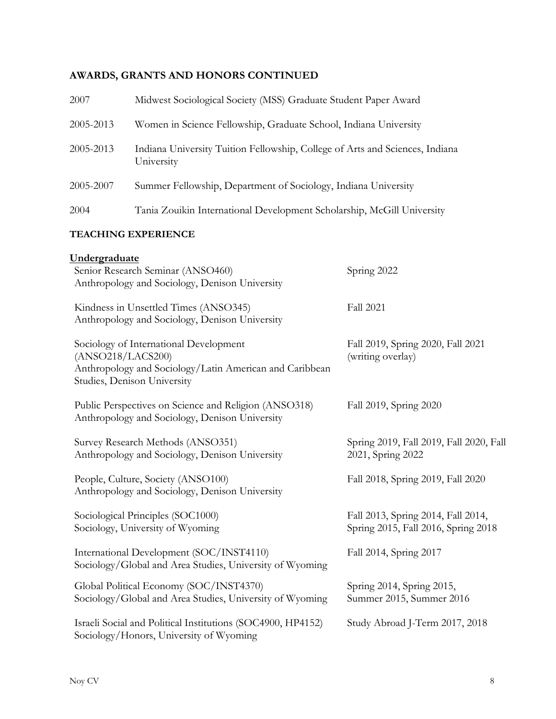## **AWARDS, GRANTS AND HONORS CONTINUED**

| 2007      | Midwest Sociological Society (MSS) Graduate Student Paper Award                            |
|-----------|--------------------------------------------------------------------------------------------|
| 2005-2013 | Women in Science Fellowship, Graduate School, Indiana University                           |
| 2005-2013 | Indiana University Tuition Fellowship, College of Arts and Sciences, Indiana<br>University |
| 2005-2007 | Summer Fellowship, Department of Sociology, Indiana University                             |
| 2004      | Tania Zouikin International Development Scholarship, McGill University                     |

### **TEACHING EXPERIENCE**

| Undergraduate<br>Senior Research Seminar (ANSO460)<br>Anthropology and Sociology, Denison University                                                  | Spring 2022                                                               |
|-------------------------------------------------------------------------------------------------------------------------------------------------------|---------------------------------------------------------------------------|
| Kindness in Unsettled Times (ANSO345)<br>Anthropology and Sociology, Denison University                                                               | <b>Fall 2021</b>                                                          |
| Sociology of International Development<br>(ANSO218/LACS200)<br>Anthropology and Sociology/Latin American and Caribbean<br>Studies, Denison University | Fall 2019, Spring 2020, Fall 2021<br>(writing overlay)                    |
| Public Perspectives on Science and Religion (ANSO318)<br>Anthropology and Sociology, Denison University                                               | Fall 2019, Spring 2020                                                    |
| Survey Research Methods (ANSO351)<br>Anthropology and Sociology, Denison University                                                                   | Spring 2019, Fall 2019, Fall 2020, Fall<br>2021, Spring 2022              |
| People, Culture, Society (ANSO100)<br>Anthropology and Sociology, Denison University                                                                  | Fall 2018, Spring 2019, Fall 2020                                         |
| Sociological Principles (SOC1000)<br>Sociology, University of Wyoming                                                                                 | Fall 2013, Spring 2014, Fall 2014,<br>Spring 2015, Fall 2016, Spring 2018 |
| International Development (SOC/INST4110)<br>Sociology/Global and Area Studies, University of Wyoming                                                  | Fall 2014, Spring 2017                                                    |
| Global Political Economy (SOC/INST4370)<br>Sociology/Global and Area Studies, University of Wyoming                                                   | Spring 2014, Spring 2015,<br>Summer 2015, Summer 2016                     |
| Israeli Social and Political Institutions (SOC4900, HP4152)<br>Sociology/Honors, University of Wyoming                                                | Study Abroad J-Term 2017, 2018                                            |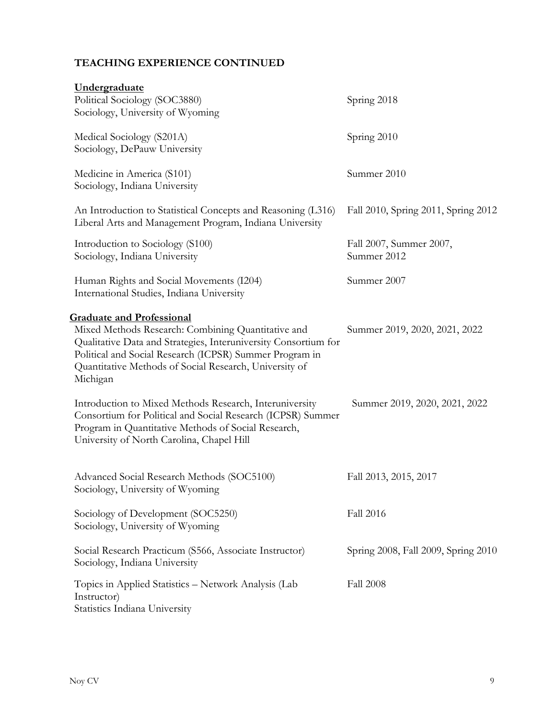# **TEACHING EXPERIENCE CONTINUED**

| Undergraduate<br>Political Sociology (SOC3880)<br>Sociology, University of Wyoming                                                                                                                                                                                                         | Spring 2018                            |
|--------------------------------------------------------------------------------------------------------------------------------------------------------------------------------------------------------------------------------------------------------------------------------------------|----------------------------------------|
| Medical Sociology (S201A)<br>Sociology, DePauw University                                                                                                                                                                                                                                  | Spring 2010                            |
| Medicine in America (S101)<br>Sociology, Indiana University                                                                                                                                                                                                                                | Summer 2010                            |
| An Introduction to Statistical Concepts and Reasoning (L316)<br>Liberal Arts and Management Program, Indiana University                                                                                                                                                                    | Fall 2010, Spring 2011, Spring 2012    |
| Introduction to Sociology (S100)<br>Sociology, Indiana University                                                                                                                                                                                                                          | Fall 2007, Summer 2007,<br>Summer 2012 |
| Human Rights and Social Movements (I204)<br>International Studies, Indiana University                                                                                                                                                                                                      | Summer 2007                            |
| <b>Graduate and Professional</b><br>Mixed Methods Research: Combining Quantitative and<br>Qualitative Data and Strategies, Interuniversity Consortium for<br>Political and Social Research (ICPSR) Summer Program in<br>Quantitative Methods of Social Research, University of<br>Michigan | Summer 2019, 2020, 2021, 2022          |
| Introduction to Mixed Methods Research, Interuniversity<br>Consortium for Political and Social Research (ICPSR) Summer<br>Program in Quantitative Methods of Social Research,<br>University of North Carolina, Chapel Hill                                                                 | Summer 2019, 2020, 2021, 2022          |
| Advanced Social Research Methods (SOC5100)<br>Sociology, University of Wyoming                                                                                                                                                                                                             | Fall 2013, 2015, 2017                  |
| Sociology of Development (SOC5250)<br>Sociology, University of Wyoming                                                                                                                                                                                                                     | <b>Fall 2016</b>                       |
| Social Research Practicum (S566, Associate Instructor)<br>Sociology, Indiana University                                                                                                                                                                                                    | Spring 2008, Fall 2009, Spring 2010    |
| Topics in Applied Statistics - Network Analysis (Lab<br>Instructor)<br>Statistics Indiana University                                                                                                                                                                                       | <b>Fall 2008</b>                       |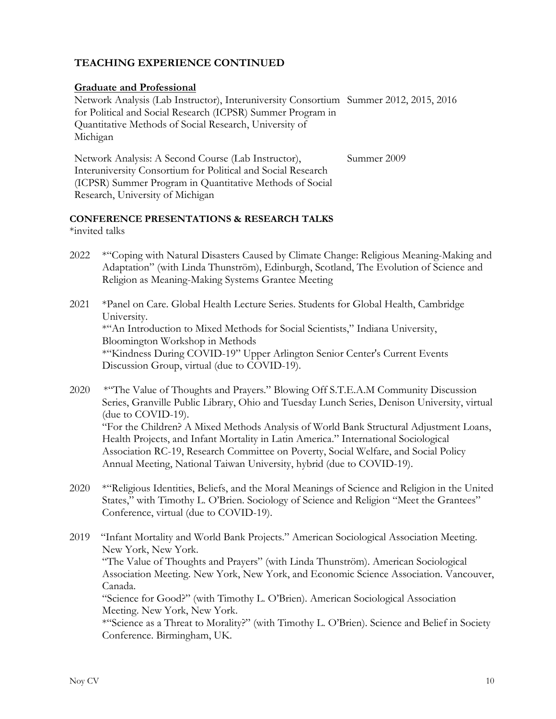### **TEACHING EXPERIENCE CONTINUED**

### **Graduate and Professional**

Network Analysis (Lab Instructor), Interuniversity Consortium Summer 2012, 2015, 2016 for Political and Social Research (ICPSR) Summer Program in Quantitative Methods of Social Research, University of Michigan

Network Analysis: A Second Course (Lab Instructor), Interuniversity Consortium for Political and Social Research (ICPSR) Summer Program in Quantitative Methods of Social Research, University of Michigan Summer 2009

## **CONFERENCE PRESENTATIONS & RESEARCH TALKS**

\*invited talks

- 2022 \*"Coping with Natural Disasters Caused by Climate Change: Religious Meaning-Making and Adaptation" (with Linda Thunström), Edinburgh, Scotland, The Evolution of Science and Religion as Meaning-Making Systems Grantee Meeting
- 2021 \*Panel on Care. Global Health Lecture Series. Students for Global Health, Cambridge University. \*"An Introduction to Mixed Methods for Social Scientists," Indiana University, Bloomington Workshop in Methods \*"Kindness During COVID-19" Upper Arlington Senior Center's Current Events Discussion Group, virtual (due to COVID-19).
- 2020 \*"The Value of Thoughts and Prayers." Blowing Off S.T.E.A.M Community Discussion Series, Granville Public Library, Ohio and Tuesday Lunch Series, Denison University, virtual (due to COVID-19). "For the Children? A Mixed Methods Analysis of World Bank Structural Adjustment Loans, Health Projects, and Infant Mortality in Latin America." International Sociological Association RC-19, Research Committee on Poverty, Social Welfare, and Social Policy Annual Meeting, National Taiwan University, hybrid (due to COVID-19).
- 2020 \*"Religious Identities, Beliefs, and the Moral Meanings of Science and Religion in the United States," with Timothy L. O'Brien. Sociology of Science and Religion "Meet the Grantees" Conference, virtual (due to COVID-19).
- 2019 "Infant Mortality and World Bank Projects." American Sociological Association Meeting. New York, New York. "The Value of Thoughts and Prayers" (with Linda Thunström). American Sociological Association Meeting. New York, New York, and Economic Science Association. Vancouver, Canada. "Science for Good?" (with Timothy L. O'Brien). American Sociological Association Meeting. New York, New York. \*"Science as a Threat to Morality?" (with Timothy L. O'Brien). Science and Belief in Society Conference. Birmingham, UK.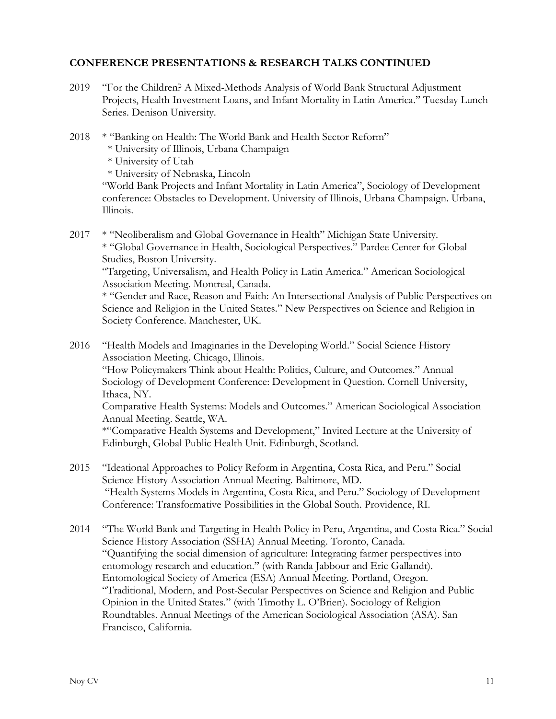### **CONFERENCE PRESENTATIONS & RESEARCH TALKS CONTINUED**

- 2019 "For the Children? A Mixed-Methods Analysis of World Bank Structural Adjustment Projects, Health Investment Loans, and Infant Mortality in Latin America." Tuesday Lunch Series. Denison University.
- 2018 \* "Banking on Health: The World Bank and Health Sector Reform"
	- \* University of Illinois, Urbana Champaign

\* University of Utah

\* University of Nebraska, Lincoln

"World Bank Projects and Infant Mortality in Latin America", Sociology of Development conference: Obstacles to Development. University of Illinois, Urbana Champaign. Urbana, Illinois.

2017 \* "Neoliberalism and Global Governance in Health" Michigan State University. \* "Global Governance in Health, Sociological Perspectives." Pardee Center for Global Studies, Boston University.

"Targeting, Universalism, and Health Policy in Latin America." American Sociological Association Meeting. Montreal, Canada.

\* "Gender and Race, Reason and Faith: An Intersectional Analysis of Public Perspectives on Science and Religion in the United States." New Perspectives on Science and Religion in Society Conference. Manchester, UK.

- 2016 "Health Models and Imaginaries in the Developing World." Social Science History Association Meeting. Chicago, Illinois. "How Policymakers Think about Health: Politics, Culture, and Outcomes." Annual Sociology of Development Conference: Development in Question. Cornell University, Ithaca, NY. Comparative Health Systems: Models and Outcomes." American Sociological Association Annual Meeting. Seattle, WA. \*"Comparative Health Systems and Development," Invited Lecture at the University of
- 2015 "Ideational Approaches to Policy Reform in Argentina, Costa Rica, and Peru." Social Science History Association Annual Meeting. Baltimore, MD. "Health Systems Models in Argentina, Costa Rica, and Peru." Sociology of Development Conference: Transformative Possibilities in the Global South. Providence, RI.

Edinburgh, Global Public Health Unit. Edinburgh, Scotland*.*

2014 "The World Bank and Targeting in Health Policy in Peru, Argentina, and Costa Rica." Social Science History Association (SSHA) Annual Meeting. Toronto, Canada. "Quantifying the social dimension of agriculture: Integrating farmer perspectives into entomology research and education." (with Randa Jabbour and Eric Gallandt). Entomological Society of America (ESA) Annual Meeting. Portland, Oregon. "Traditional, Modern, and Post-Secular Perspectives on Science and Religion and Public Opinion in the United States." (with Timothy L. O'Brien). Sociology of Religion Roundtables. Annual Meetings of the American Sociological Association (ASA). San Francisco, California.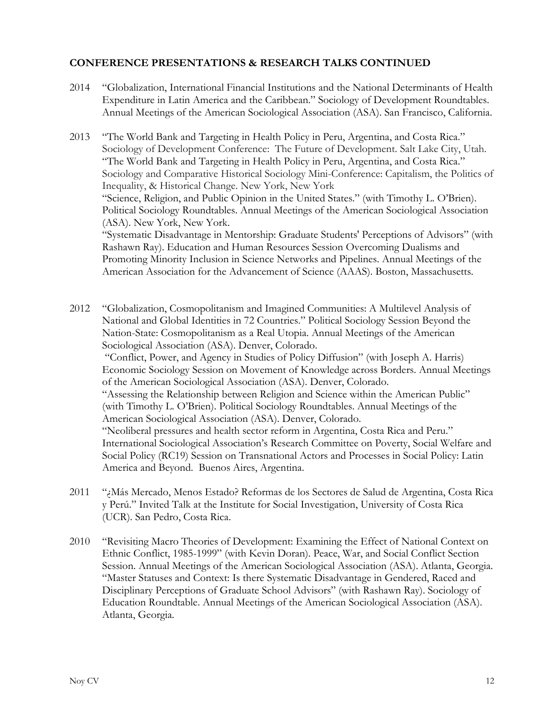### **CONFERENCE PRESENTATIONS & RESEARCH TALKS CONTINUED**

- 2014 "Globalization, International Financial Institutions and the National Determinants of Health Expenditure in Latin America and the Caribbean." Sociology of Development Roundtables. Annual Meetings of the American Sociological Association (ASA). San Francisco, California.
- 2013 "The World Bank and Targeting in Health Policy in Peru, Argentina, and Costa Rica." Sociology of Development Conference: The Future of Development. Salt Lake City, Utah. "The World Bank and Targeting in Health Policy in Peru, Argentina, and Costa Rica." Sociology and Comparative Historical Sociology Mini-Conference: Capitalism, the Politics of Inequality, & Historical Change. New York, New York "Science, Religion, and Public Opinion in the United States." (with Timothy L. O'Brien). Political Sociology Roundtables. Annual Meetings of the American Sociological Association (ASA). New York, New York. "Systematic Disadvantage in Mentorship: Graduate Students' Perceptions of Advisors" (with Rashawn Ray). Education and Human Resources Session Overcoming Dualisms and Promoting Minority Inclusion in Science Networks and Pipelines. Annual Meetings of the American Association for the Advancement of Science (AAAS). Boston, Massachusetts.
- 2012 "Globalization, Cosmopolitanism and Imagined Communities: A Multilevel Analysis of National and Global Identities in 72 Countries." Political Sociology Session Beyond the Nation-State: Cosmopolitanism as a Real Utopia. Annual Meetings of the American Sociological Association (ASA). Denver, Colorado. "Conflict, Power, and Agency in Studies of Policy Diffusion" (with Joseph A. Harris) Economic Sociology Session on Movement of Knowledge across Borders. Annual Meetings of the American Sociological Association (ASA). Denver, Colorado. "Assessing the Relationship between Religion and Science within the American Public" (with Timothy L. O'Brien). Political Sociology Roundtables. Annual Meetings of the American Sociological Association (ASA). Denver, Colorado. "Neoliberal pressures and health sector reform in Argentina, Costa Rica and Peru." International Sociological Association's Research Committee on Poverty, Social Welfare and Social Policy (RC19) Session on Transnational Actors and Processes in Social Policy: Latin America and Beyond. Buenos Aires, Argentina.
- 2011 "¿Más Mercado, Menos Estado? Reformas de los Sectores de Salud de Argentina, Costa Rica y Perú." Invited Talk at the Institute for Social Investigation, University of Costa Rica (UCR). San Pedro, Costa Rica.
- 2010 "Revisiting Macro Theories of Development: Examining the Effect of National Context on Ethnic Conflict, 1985-1999" (with Kevin Doran). Peace, War, and Social Conflict Section Session. Annual Meetings of the American Sociological Association (ASA). Atlanta, Georgia. "Master Statuses and Context: Is there Systematic Disadvantage in Gendered, Raced and Disciplinary Perceptions of Graduate School Advisors" (with Rashawn Ray). Sociology of Education Roundtable. Annual Meetings of the American Sociological Association (ASA). Atlanta, Georgia.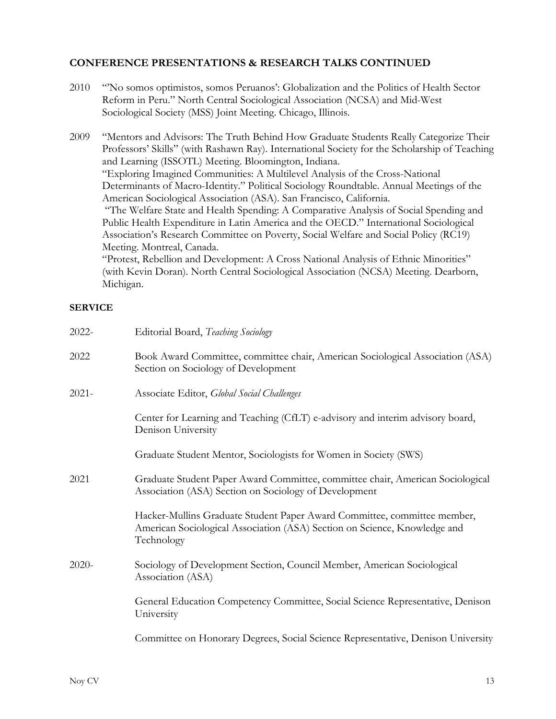### **CONFERENCE PRESENTATIONS & RESEARCH TALKS CONTINUED**

| 2010           | "No somos optimistos, somos Peruanos': Globalization and the Politics of Health Sector<br>Reform in Peru." North Central Sociological Association (NCSA) and Mid-West<br>Sociological Society (MSS) Joint Meeting. Chicago, Illinois.                                                                                                                                                                                                                                                                                                                                                                                                                                                                                                                                                                                                                                                                                                                                                                |  |
|----------------|------------------------------------------------------------------------------------------------------------------------------------------------------------------------------------------------------------------------------------------------------------------------------------------------------------------------------------------------------------------------------------------------------------------------------------------------------------------------------------------------------------------------------------------------------------------------------------------------------------------------------------------------------------------------------------------------------------------------------------------------------------------------------------------------------------------------------------------------------------------------------------------------------------------------------------------------------------------------------------------------------|--|
| 2009           | "Mentors and Advisors: The Truth Behind How Graduate Students Really Categorize Their<br>Professors' Skills" (with Rashawn Ray). International Society for the Scholarship of Teaching<br>and Learning (ISSOTL) Meeting. Bloomington, Indiana.<br>"Exploring Imagined Communities: A Multilevel Analysis of the Cross-National<br>Determinants of Macro-Identity." Political Sociology Roundtable. Annual Meetings of the<br>American Sociological Association (ASA). San Francisco, California.<br>"The Welfare State and Health Spending: A Comparative Analysis of Social Spending and<br>Public Health Expenditure in Latin America and the OECD." International Sociological<br>Association's Research Committee on Poverty, Social Welfare and Social Policy (RC19)<br>Meeting. Montreal, Canada.<br>"Protest, Rebellion and Development: A Cross National Analysis of Ethnic Minorities"<br>(with Kevin Doran). North Central Sociological Association (NCSA) Meeting. Dearborn,<br>Michigan. |  |
| <b>SERVICE</b> |                                                                                                                                                                                                                                                                                                                                                                                                                                                                                                                                                                                                                                                                                                                                                                                                                                                                                                                                                                                                      |  |
| 2022-          | Editorial Board, Teaching Sociology                                                                                                                                                                                                                                                                                                                                                                                                                                                                                                                                                                                                                                                                                                                                                                                                                                                                                                                                                                  |  |
| 2022           | Book Award Committee, committee chair, American Sociological Association (ASA)<br>Section on Sociology of Development                                                                                                                                                                                                                                                                                                                                                                                                                                                                                                                                                                                                                                                                                                                                                                                                                                                                                |  |
| $2021 -$       | Associate Editor, Global Social Challenges                                                                                                                                                                                                                                                                                                                                                                                                                                                                                                                                                                                                                                                                                                                                                                                                                                                                                                                                                           |  |
|                | Center for Learning and Teaching (CfLT) e-advisory and interim advisory board,<br>Denison University                                                                                                                                                                                                                                                                                                                                                                                                                                                                                                                                                                                                                                                                                                                                                                                                                                                                                                 |  |
|                | Graduate Student Mentor, Sociologists for Women in Society (SWS)                                                                                                                                                                                                                                                                                                                                                                                                                                                                                                                                                                                                                                                                                                                                                                                                                                                                                                                                     |  |
| 2021           | Graduate Student Paper Award Committee, committee chair, American Sociological<br>Association (ASA) Section on Sociology of Development                                                                                                                                                                                                                                                                                                                                                                                                                                                                                                                                                                                                                                                                                                                                                                                                                                                              |  |
|                | Hacker-Mullins Graduate Student Paper Award Committee, committee member,<br>American Sociological Association (ASA) Section on Science, Knowledge and<br>Technology                                                                                                                                                                                                                                                                                                                                                                                                                                                                                                                                                                                                                                                                                                                                                                                                                                  |  |
| 2020-          | Sociology of Development Section, Council Member, American Sociological<br>Association (ASA)                                                                                                                                                                                                                                                                                                                                                                                                                                                                                                                                                                                                                                                                                                                                                                                                                                                                                                         |  |

General Education Competency Committee, Social Science Representative, Denison University

Committee on Honorary Degrees, Social Science Representative, Denison University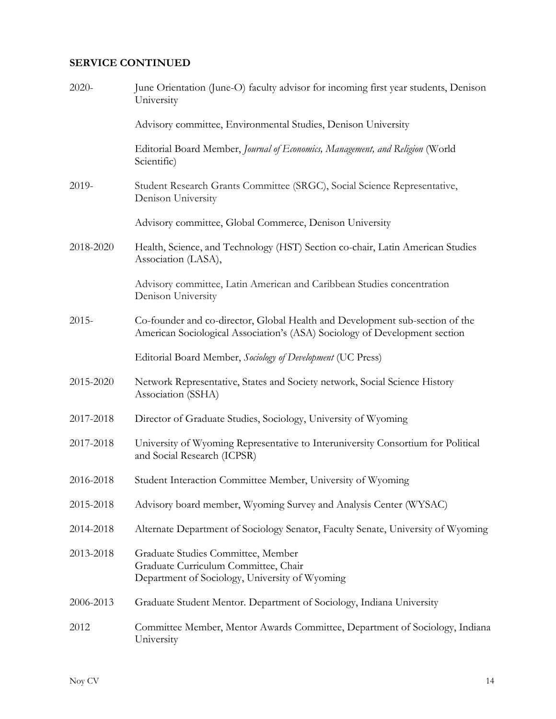## **SERVICE CONTINUED**

| 2020-     | June Orientation (June-O) faculty advisor for incoming first year students, Denison<br>University                                                          |
|-----------|------------------------------------------------------------------------------------------------------------------------------------------------------------|
|           | Advisory committee, Environmental Studies, Denison University                                                                                              |
|           | Editorial Board Member, Journal of Economics, Management, and Religion (World<br>Scientific)                                                               |
| 2019-     | Student Research Grants Committee (SRGC), Social Science Representative,<br>Denison University                                                             |
|           | Advisory committee, Global Commerce, Denison University                                                                                                    |
| 2018-2020 | Health, Science, and Technology (HST) Section co-chair, Latin American Studies<br>Association (LASA),                                                      |
|           | Advisory committee, Latin American and Caribbean Studies concentration<br>Denison University                                                               |
| $2015 -$  | Co-founder and co-director, Global Health and Development sub-section of the<br>American Sociological Association's (ASA) Sociology of Development section |
|           | Editorial Board Member, Sociology of Development (UC Press)                                                                                                |
| 2015-2020 | Network Representative, States and Society network, Social Science History<br>Association (SSHA)                                                           |
| 2017-2018 | Director of Graduate Studies, Sociology, University of Wyoming                                                                                             |
| 2017-2018 | University of Wyoming Representative to Interuniversity Consortium for Political<br>and Social Research (ICPSR)                                            |
| 2016-2018 | Student Interaction Committee Member, University of Wyoming                                                                                                |
| 2015-2018 | Advisory board member, Wyoming Survey and Analysis Center (WYSAC)                                                                                          |
| 2014-2018 | Alternate Department of Sociology Senator, Faculty Senate, University of Wyoming                                                                           |
| 2013-2018 | Graduate Studies Committee, Member<br>Graduate Curriculum Committee, Chair<br>Department of Sociology, University of Wyoming                               |
| 2006-2013 | Graduate Student Mentor. Department of Sociology, Indiana University                                                                                       |
| 2012      | Committee Member, Mentor Awards Committee, Department of Sociology, Indiana<br>University                                                                  |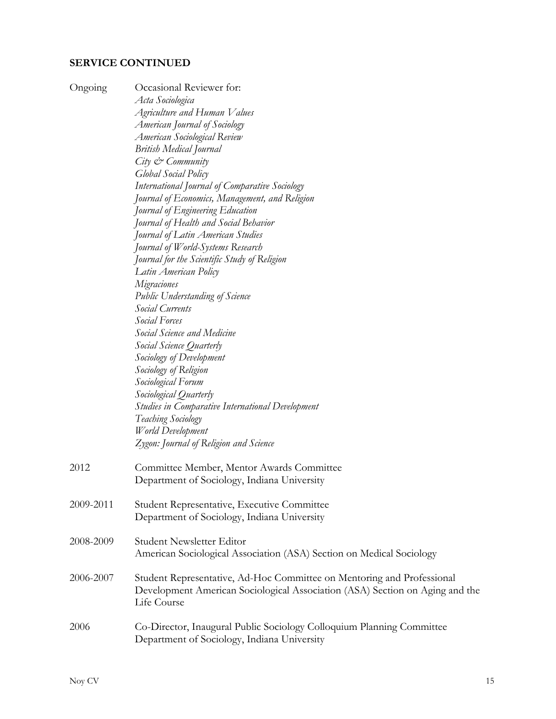## **SERVICE CONTINUED**

| Ongoing   | Occasional Reviewer for:                                                     |
|-----------|------------------------------------------------------------------------------|
|           | Acta Sociologica<br>Agriculture and Human Values                             |
|           | American Journal of Sociology                                                |
|           | American Sociological Review                                                 |
|           |                                                                              |
|           | <b>British Medical Journal</b>                                               |
|           | City & Community                                                             |
|           | <b>Global Social Policy</b>                                                  |
|           | International Journal of Comparative Sociology                               |
|           | Journal of Economics, Management, and Religion                               |
|           | Journal of Engineering Education                                             |
|           | Journal of Health and Social Behavior                                        |
|           | Journal of Latin American Studies                                            |
|           | Journal of World-Systems Research                                            |
|           | Journal for the Scientific Study of Religion                                 |
|           | Latin American Policy                                                        |
|           | Migraciones                                                                  |
|           | <b>Public Understanding of Science</b><br>Social Currents                    |
|           | Social Forces                                                                |
|           | Social Science and Medicine                                                  |
|           |                                                                              |
|           | Social Science Quarterly                                                     |
|           | Sociology of Development                                                     |
|           | Sociology of Religion                                                        |
|           | Sociological Forum                                                           |
|           | Sociological Quarterly                                                       |
|           | <b>Studies in Comparative International Development</b>                      |
|           | <b>Teaching Sociology</b>                                                    |
|           | World Development                                                            |
|           | Zygon: Journal of Religion and Science                                       |
| 2012      | Committee Member, Mentor Awards Committee                                    |
|           | Department of Sociology, Indiana University                                  |
|           |                                                                              |
| 2009-2011 | Student Representative, Executive Committee                                  |
|           | Department of Sociology, Indiana University                                  |
|           |                                                                              |
| 2008-2009 | Student Newsletter Editor                                                    |
|           | American Sociological Association (ASA) Section on Medical Sociology         |
|           |                                                                              |
| 2006-2007 | Student Representative, Ad-Hoc Committee on Mentoring and Professional       |
|           | Development American Sociological Association (ASA) Section on Aging and the |
|           | Life Course                                                                  |
|           |                                                                              |
| 2006      | Co-Director, Inaugural Public Sociology Colloquium Planning Committee        |
|           | Department of Sociology, Indiana University                                  |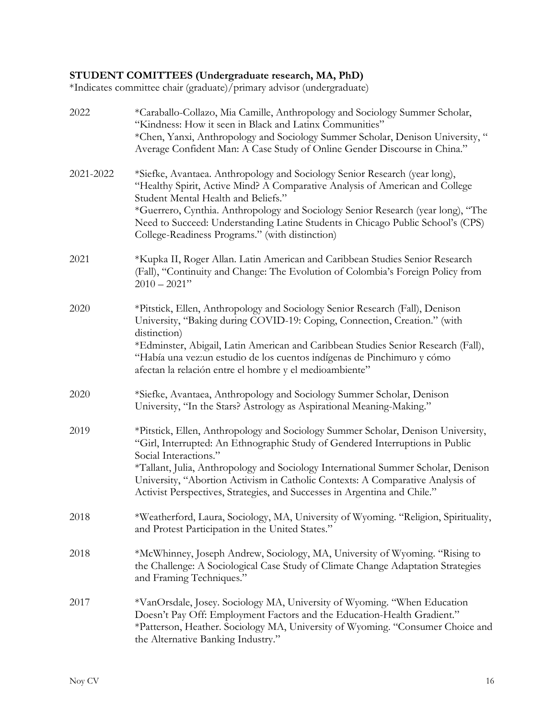### **STUDENT COMITTEES (Undergraduate research, MA, PhD)**

\*Indicates committee chair (graduate)/primary advisor (undergraduate)

| 2022      | *Caraballo-Collazo, Mia Camille, Anthropology and Sociology Summer Scholar,<br>"Kindness: How it seen in Black and Latinx Communities"<br>*Chen, Yanxi, Anthropology and Sociology Summer Scholar, Denison University, "<br>Average Confident Man: A Case Study of Online Gender Discourse in China."                                                                                                                                          |
|-----------|------------------------------------------------------------------------------------------------------------------------------------------------------------------------------------------------------------------------------------------------------------------------------------------------------------------------------------------------------------------------------------------------------------------------------------------------|
| 2021-2022 | *Siefke, Avantaea. Anthropology and Sociology Senior Research (year long),<br>"Healthy Spirit, Active Mind? A Comparative Analysis of American and College<br>Student Mental Health and Beliefs."<br>*Guerrero, Cynthia. Anthropology and Sociology Senior Research (year long), "The<br>Need to Succeed: Understanding Latine Students in Chicago Public School's (CPS)<br>College-Readiness Programs." (with distinction)                    |
| 2021      | *Kupka II, Roger Allan. Latin American and Caribbean Studies Senior Research<br>(Fall), "Continuity and Change: The Evolution of Colombia's Foreign Policy from<br>$2010 - 2021"$                                                                                                                                                                                                                                                              |
| 2020      | *Pitstick, Ellen, Anthropology and Sociology Senior Research (Fall), Denison<br>University, "Baking during COVID-19: Coping, Connection, Creation." (with<br>distinction)<br>*Edminster, Abigail, Latin American and Caribbean Studies Senior Research (Fall),<br>"Había una vez: un estudio de los cuentos indígenas de Pinchimuro y cómo<br>afectan la relación entre el hombre y el medioambiente"                                          |
| 2020      | *Siefke, Avantaea, Anthropology and Sociology Summer Scholar, Denison<br>University, "In the Stars? Astrology as Aspirational Meaning-Making."                                                                                                                                                                                                                                                                                                 |
| 2019      | *Pitstick, Ellen, Anthropology and Sociology Summer Scholar, Denison University,<br>"Girl, Interrupted: An Ethnographic Study of Gendered Interruptions in Public<br>Social Interactions."<br>*Tallant, Julia, Anthropology and Sociology International Summer Scholar, Denison<br>University, "Abortion Activism in Catholic Contexts: A Comparative Analysis of<br>Activist Perspectives, Strategies, and Successes in Argentina and Chile." |
| 2018      | *Weatherford, Laura, Sociology, MA, University of Wyoming. "Religion, Spirituality,<br>and Protest Participation in the United States."                                                                                                                                                                                                                                                                                                        |
| 2018      | *McWhinney, Joseph Andrew, Sociology, MA, University of Wyoming. "Rising to<br>the Challenge: A Sociological Case Study of Climate Change Adaptation Strategies<br>and Framing Techniques."                                                                                                                                                                                                                                                    |
| 2017      | *VanOrsdale, Josey. Sociology MA, University of Wyoming. "When Education<br>Doesn't Pay Off: Employment Factors and the Education-Health Gradient."<br>*Patterson, Heather. Sociology MA, University of Wyoming. "Consumer Choice and<br>the Alternative Banking Industry."                                                                                                                                                                    |